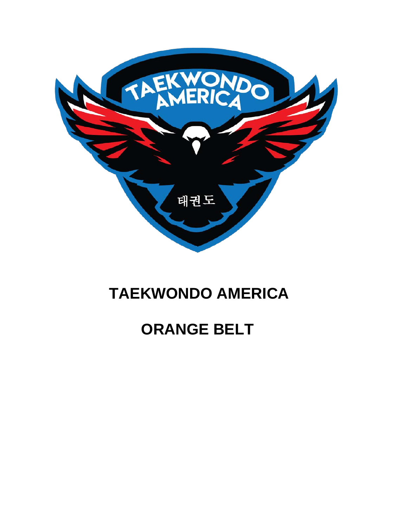

## **TAEKWONDO AMERICA**

# **ORANGE BELT**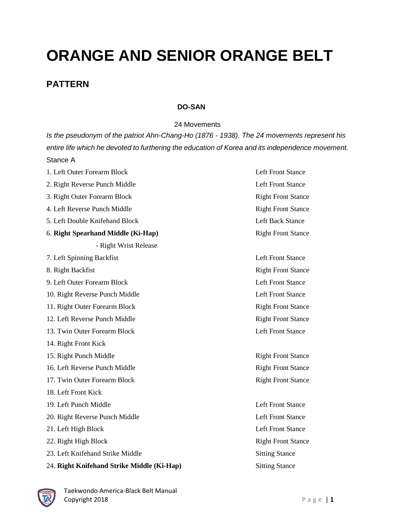# **ORANGE AND SENIOR ORANGE BELT**

### **PATTERN**

#### **DO-SAN**

24 Movements

*Is the pseudonym of the patriot Ahn-Chang-Ho (1876 - 1938). The 24 movements represent his entire life which he devoted to furthering the education of Korea and its independence movement.* Stance A

| 1. Left Outer Forearm Block                | <b>Left Front Stance</b>  |
|--------------------------------------------|---------------------------|
| 2. Right Reverse Punch Middle              | <b>Left Front Stance</b>  |
| 3. Right Outer Forearm Block               | <b>Right Front Stance</b> |
| 4. Left Reverse Punch Middle               | <b>Right Front Stance</b> |
| 5. Left Double Knifehand Block             | <b>Left Back Stance</b>   |
| 6. Right Spearhand Middle (Ki-Hap)         | <b>Right Front Stance</b> |
| - Right Wrist Release                      |                           |
| 7. Left Spinning Backfist                  | <b>Left Front Stance</b>  |
| 8. Right Backfist                          | <b>Right Front Stance</b> |
| 9. Left Outer Forearm Block                | <b>Left Front Stance</b>  |
| 10. Right Reverse Punch Middle             | <b>Left Front Stance</b>  |
| 11. Right Outer Forearm Block              | <b>Right Front Stance</b> |
| 12. Left Reverse Punch Middle              | <b>Right Front Stance</b> |
| 13. Twin Outer Forearm Block               | <b>Left Front Stance</b>  |
| 14. Right Front Kick                       |                           |
| 15. Right Punch Middle                     | <b>Right Front Stance</b> |
| 16. Left Reverse Punch Middle              | <b>Right Front Stance</b> |
| 17. Twin Outer Forearm Block               | <b>Right Front Stance</b> |
| 18. Left Front Kick                        |                           |
| 19. Left Punch Middle                      | <b>Left Front Stance</b>  |
| 20. Right Reverse Punch Middle             | <b>Left Front Stance</b>  |
| 21. Left High Block                        | <b>Left Front Stance</b>  |
| 22. Right High Block                       | <b>Right Front Stance</b> |
| 23. Left Knifehand Strike Middle           | <b>Sitting Stance</b>     |
| 24. Right Knifehand Strike Middle (Ki-Hap) | <b>Sitting Stance</b>     |

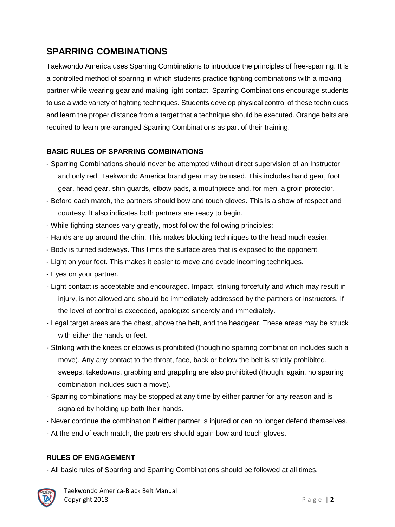## **SPARRING COMBINATIONS**

Taekwondo America uses Sparring Combinations to introduce the principles of free-sparring. It is a controlled method of sparring in which students practice fighting combinations with a moving partner while wearing gear and making light contact. Sparring Combinations encourage students to use a wide variety of fighting techniques. Students develop physical control of these techniques and learn the proper distance from a target that a technique should be executed. Orange belts are required to learn pre-arranged Sparring Combinations as part of their training.

### **BASIC RULES OF SPARRING COMBINATIONS**

- Sparring Combinations should never be attempted without direct supervision of an Instructor and only red, Taekwondo America brand gear may be used. This includes hand gear, foot gear, head gear, shin guards, elbow pads, a mouthpiece and, for men, a groin protector.
- Before each match, the partners should bow and touch gloves. This is a show of respect and courtesy. It also indicates both partners are ready to begin.
- While fighting stances vary greatly, most follow the following principles:
- Hands are up around the chin. This makes blocking techniques to the head much easier.
- Body is turned sideways. This limits the surface area that is exposed to the opponent.
- Light on your feet. This makes it easier to move and evade incoming techniques.
- Eyes on your partner.
- Light contact is acceptable and encouraged. Impact, striking forcefully and which may result in injury, is not allowed and should be immediately addressed by the partners or instructors. If the level of control is exceeded, apologize sincerely and immediately.
- Legal target areas are the chest, above the belt, and the headgear. These areas may be struck with either the hands or feet.
- Striking with the knees or elbows is prohibited (though no sparring combination includes such a move). Any any contact to the throat, face, back or below the belt is strictly prohibited. sweeps, takedowns, grabbing and grappling are also prohibited (though, again, no sparring combination includes such a move).
- Sparring combinations may be stopped at any time by either partner for any reason and is signaled by holding up both their hands.
- Never continue the combination if either partner is injured or can no longer defend themselves.
- At the end of each match, the partners should again bow and touch gloves.

### **RULES OF ENGAGEMENT**

- All basic rules of Sparring and Sparring Combinations should be followed at all times.